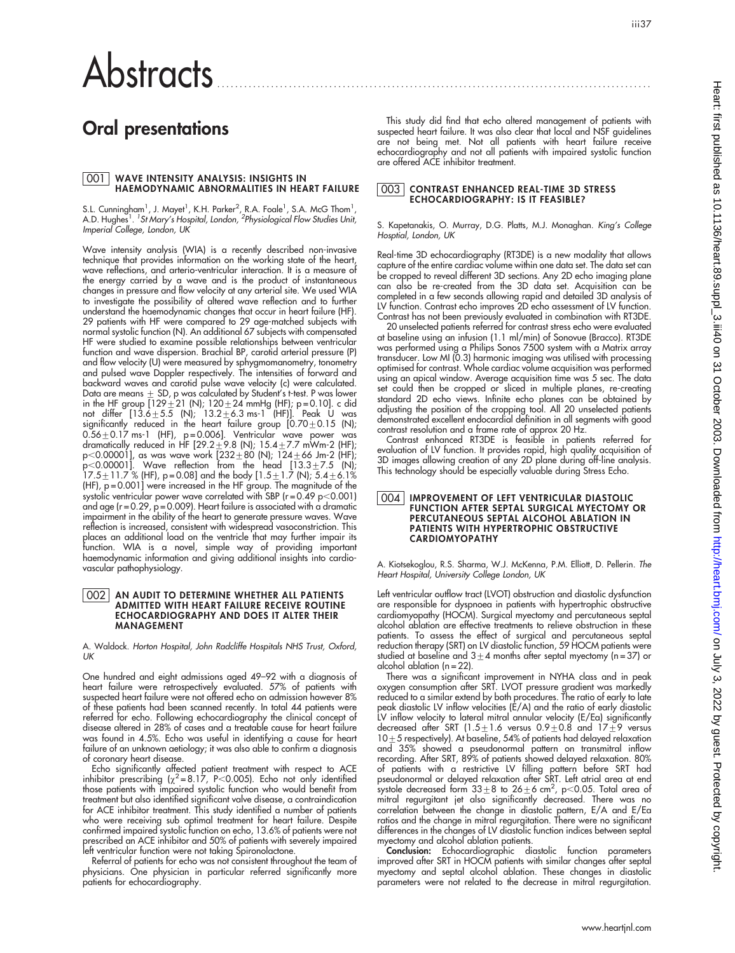# Abstracts

## Oral presentations

# <u>001 |</u> WAVE INTENSITY ANALYSIS: INSIGHTS IN<br>HAEMODYNAMIC ABNORMALITIES IN HEART FAILURE

S.L. Cunningham<sup>1</sup>, J. Mayet<sup>1</sup>, K.H. Parker<sup>2</sup>, R.A. Foale<sup>1</sup>, S.A. McG Thom<sup>1</sup>, A.D. Hughes<sup>1</sup>. <sup>1</sup>St Mary's Hospital, London, <sup>2</sup>Physiological Flow Studies Unit, Imperial College, London, UK

Wave intensity analysis (WIA) is a recently described non-invasive technique that provides information on the working state of the heart, wave reflections, and arterio-ventricular interaction. It is a measure of the energy carried by a wave and is the product of instantaneous changes in pressure and flow velocity at any arterial site. We used WIA to investigate the possibility of altered wave reflection and to further understand the haemodynamic changes that occur in heart failure (HF). 29 patients with HF were compared to 29 age-matched subjects with normal systolic function (N). An additional 67 subjects with compensated HF were studied to examine possible relationships between ventricular function and wave dispersion. Brachial BP, carotid arterial pressure (P) and flow velocity (U) were measured by sphygmomanometry, tonometry and pulsed wave Doppler respectively. The intensities of forward and backward waves and carotid pulse wave velocity (c) were calculated. Data are means  $\pm$  SD, p was calculated by Student's t-test. P was lower in the HF group  $[129 \pm 21$  (N);  $120 \pm 24$  mmHg (HF); p=0.10]. c did not differ [13.6 $\pm$ 5.5 (N); 13.2 $\pm$ 6.3 ms-1 (HF)]. Peak U was significantly reduced in the heart failure group  $[0.70 \pm 0.15$  (N);  $0.56\pm0.17$  ms-1 (HF), p=0.006]. Ventricular wave power was dramatically reduced in HF [29.2 $\pm$ 9.8 (N); 15.4 $\pm$ 7.7 mWm-2 (HF); p<0.00001], as was wave work [232 $\pm$ 80 (N); 124 $\pm$ 66 Jm-2 (HF);  ${\sf p}{<}$ 0.00001]. Wave reflection from the head [13.3 ${\pm}$ 7.5 (N); 17.5 $\pm$ 11.7 % (HF), p=0.08] and the body [1.5 $\pm$ 1.7 (N); 5.4 $\pm$ 6.1% (HF), p = 0.001] were increased in the HF group. The magnitude of the systolic ventricular power wave correlated with SBP (r=0.49 p<0.001) and age (r = 0.29, p = 0.009). Heart failure is associated with a dramatic impairment in the ability of the heart to generate pressure waves. Wave reflection is increased, consistent with widespread vasoconstriction. This places an additional load on the ventricle that may further impair its function. WIA is a novel, simple way of providing important haemodynamic information and giving additional insights into cardiovascular pathophysiology.

### 002 | AN AUDIT TO DETERMINE WHETHER ALL PATIENTS<br>ADMITTED WITH HEART FAILURE RECEIVE ROUTINE ECHOCARDIOGRAPHY AND DOES IT ALTER THEIR MANAGEMENT

A. Waldock. Horton Hospital, John Radcliffe Hospitals NHS Trust, Oxford,  $\overline{U}$ K

One hundred and eight admissions aged 49–92 with a diagnosis of heart failure were retrospectively evaluated. 57% of patients with suspected heart failure were not offered echo on admission however 8% of these patients had been scanned recently. In total 44 patients were referred for echo. Following echocardiography the clinical concept of disease altered in 28% of cases and a treatable cause for heart failure was found in 4.5%. Echo was useful in identifying a cause for heart failure of an unknown aetiology; it was also able to confirm a diagnosis of coronary heart disease.

Echo significantly affected patient treatment with respect to ACE<br>inhibitor prescribing ( $\chi^2$ =8.17, P<0.005). Echo not only identified those patients with impaired systolic function who would benefit from treatment but also identified significant valve disease, a contraindication for ACE inhibitor treatment. This study identified a number of patients who were receiving sub optimal treatment for heart failure. Despite confirmed impaired systolic function on echo, 13.6% of patients were not prescribed an ACE inhibitor and 50% of patients with severely impaired left ventricular function were not taking Spironolactone.

Referral of patients for echo was not consistent throughout the team of physicians. One physician in particular referred significantly more patients for echocardiography.

This study did find that echo altered management of patients with suspected heart failure. It was also clear that local and NSF guidelines are not being met. Not all patients with heart failure receive echocardiography and not all patients with impaired systolic function are offered ACE inhibitor treatment.

#### 003 CONTRAST ENHANCED REAL-TIME 3D STRESS ECHOCARDIOGRAPHY: IS IT FEASIBLE?

S. Kapetanakis, O. Murray, D.G. Platts, M.J. Monaghan. King's College Hosptial, London, UK

Real-time 3D echocardiography (RT3DE) is a new modality that allows capture of the entire cardiac volume within one data set. The data set can be cropped to reveal different 3D sections. Any 2D echo imaging plane can also be re-created from the 3D data set. Acquisition can be completed in a few seconds allowing rapid and detailed 3D analysis of LV function. Contrast echo improves 2D echo assessment of LV function. Contrast has not been previously evaluated in combination with RT3DE.

20 unselected patients referred for contrast stress echo were evaluated at baseline using an infusion (1.1 ml/min) of Sonovue (Bracco). RT3DE was performed using a Philips Sonos 7500 system with a Matrix array transducer. Low MI (0.3) harmonic imaging was utilised with processing optimised for contrast. Whole cardiac volume acquisition was performed using an apical window. Average acquisition time was 5 sec. The data set could then be cropped or sliced in multiple planes, re-creating standard 2D echo views. Infinite echo planes can be obtained by adjusting the position of the cropping tool. All 20 unselected patients demonstrated excellent endocardial definition in all segments with good contrast resolution and a frame rate of approx 20 Hz.

Contrast enhanced RT3DE is feasible in patients referred for evaluation of LV function. It provides rapid, high quality acquisition of 3D images allowing creation of any 2D plane during off-line analysis. This technology should be especially valuable during Stress Echo.

#### 004 IMPROVEMENT OF LEFT VENTRICULAR DIASTOLIC FUNCTION AFTER SEPTAL SURGICAL MYECTOMY OR PERCUTANEOUS SEPTAL ALCOHOL ABLATION IN PATIENTS WITH HYPERTROPHIC OBSTRUCTIVE CARDIOMYOPATHY

A. Kiotsekoglou, R.S. Sharma, W.J. McKenna, P.M. Elliott, D. Pellerin. The Heart Hospital, University College London, UK

Left ventricular outflow tract (LVOT) obstruction and diastolic dysfunction are responsible for dyspnoea in patients with hypertrophic obstructive cardiomyopathy (HOCM). Surgical myectomy and percutaneous septal alcohol ablation are effective treatments to relieve obstruction in these patients. To assess the effect of surgical and percutaneous septal reduction therapy (SRT) on LV diastolic function, 59 HOCM patients were studied at baseline and  $3 \pm 4$  months after septal myectomy (n = 37) or alcohol ablation (n = 22).

There was a significant improvement in NYHA class and in peak oxygen consumption after SRT. LVOT pressure gradient was markedly reduced to a similar extend by both procedures. The ratio of early to late peak diastolic LV inflow velocities (E/A) and the ratio of early diastolic LV intlow velocity to lateral mitral annular velocity (E/Ea) signiticantly<br>decreased after SRT (1.5±1.6 versus 0.9±0.8 and 17±9 versus  $10 + 5$  respectively). At baseline, 54% of patients had delayed relaxation and 35% showed a pseudonormal pattern on transmitral inflow recording. After SRT, 89% of patients showed delayed relaxation. 80% of patients with a restrictive LV filling pattern before SRT had pseudonormal or delayed relaxation after SRT. Left atrial area at end systole decreased form  $33\pm8$  to  $26\pm6$  cm<sup>2</sup>, p<0.05. Total area of mitral regurgitant jet also significantly decreased. There was no correlation between the change in diastolic pattern, E/A and E/Ea ratios and the change in mitral regurgitation. There were no significant differences in the changes of LV diastolic function indices between septal myectomy and alcohol ablation patients.

Conclusion: Echocardiographic diastolic function parameters improved after SRT in HOCM patients with similar changes after septal myectomy and septal alcohol ablation. These changes in diastolic parameters were not related to the decrease in mitral regurgitation.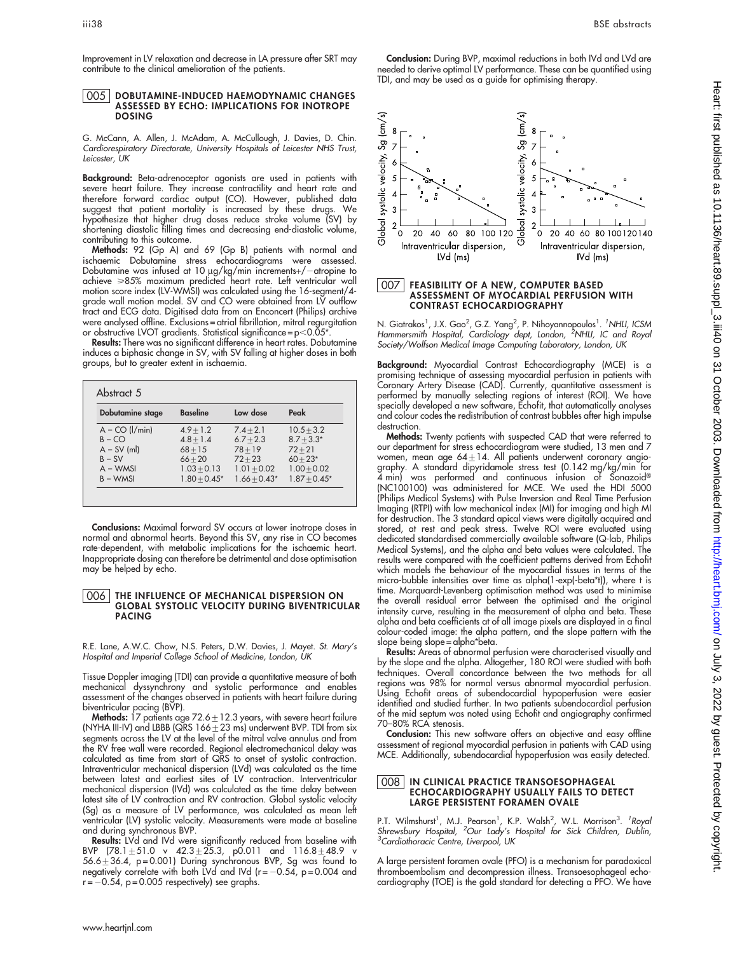Improvement in LV relaxation and decrease in LA pressure after SRT may

#### 005 DOBUTAMINE-INDUCED HAEMODYNAMIC CHANGES ASSESSED BY ECHO: IMPLICATIONS FOR INOTROPE DOSING

contribute to the clinical amelioration of the patients.

G. McCann, A. Allen, J. McAdam, A. McCullough, J. Davies, D. Chin. Cardiorespiratory Directorate, University Hospitals of Leicester NHS Trust, Leicester, UK

**Background:** Beta-adrenoceptor agonists are used in patients with severe heart failure. They increase contractility and heart rate and therefore forward cardiac output (CO). However, published data suggest that patient mortality is increased by these drugs. We hypothesize that higher drug doses reduce stroke volume (SV) by shortening diastolic filling times and decreasing end-diastolic volume, contributing to this outcome.

Methods: 92 (Gp A) and 69 (Gp B) patients with normal and ischaemic Dobutamine stress echocardiograms were assessed. Dobutamine was intused at 10 µg/kg/min increments+/-atropine to achieve >85% maximum predicted heart rate. Left ventricular wall motion score index (LV-WMSI) was calculated using the 16-segment/4 grade wall motion model. SV and CO were obtained from LV outflow tract and ECG data. Digitised data from an Enconcert (Philips) archive were analysed offline. Exclusions = atrial fibrillation, mitral regurgitation or obstructive LVOT gradients. Statistical significance =  $p$  < 0.05\*

Results: There was no significant difference in heart rates. Dobutamine induces a biphasic change in SV, with SV falling at higher doses in both groups, but to greater extent in ischaemia.

| Dobutamine stage     | <b>Baseline</b> | Low dose       | Peak           |
|----------------------|-----------------|----------------|----------------|
| $A - CO$ ( $I/min$ ) | $4.9 + 1.2$     | $7.4 + 2.1$    | $10.5 + 3.2$   |
| $B - CO$             | $4.8 + 1.4$     | $6.7 + 2.3$    | $8.7 + 3.3*$   |
| $A - SV$ (ml)        | $68 + 15$       | $78 + 19$      | $72 + 21$      |
| $B - SV$             | $66 + 20$       | $72 + 23$      | $60 + 23*$     |
| $A - WMSI$           | $1.03 + 0.13$   | $1.01 + 0.02$  | $1.00 + 0.02$  |
| $B - WMSI$           | $1.80 + 0.45*$  | $1.66 + 0.43*$ | $1.87 + 0.45*$ |

Conclusions: Maximal forward SV occurs at lower inotrope doses in normal and abnormal hearts. Beyond this SV, any rise in CO becomes rate-dependent, with metabolic implications for the ischaemic heart. Inappropriate dosing can therefore be detrimental and dose optimisation may be helped by echo.

#### 006 THE INFLUENCE OF MECHANICAL DISPERSION ON GLOBAL SYSTOLIC VELOCITY DURING BIVENTRICULAR PACING

R.E. Lane, A.W.C. Chow, N.S. Peters, D.W. Davies, J. Mayet. St. Mary's Hospital and Imperial College School of Medicine, London, UK

Tissue Doppler imaging (TDI) can provide a quantitative measure of both mechanical dyssynchrony and systolic performance and enables assessment of the changes observed in patients with heart failure during

biventricular pacing (BVP).<br>**Methods:** 17 patients age 72.6±12.3 years, with severe heart failure (NYHA III-IV) and LBBB (QRS  $166 \pm 23$  ms) underwent BVP. TDI from six segments across the LV at the level of the mitral valve annulus and from the RV free wall were recorded. Regional electromechanical delay was calculated as time from start of QRS to onset of systolic contraction. Intraventricular mechanical dispersion (LVd) was calculated as the time between latest and earliest sites of LV contraction. Interventricular mechanical dispersion (IVd) was calculated as the time delay between latest site of LV contraction and RV contraction. Global systolic velocity (Sg) as a measure of LV performance, was calculated as mean left ventricular (LV) systolic velocity. Measurements were made at baseline and during synchronous BVP.

Results: LVd and IVd were significantly reduced from baseline with BVP (78.1 $\pm$ 51.0 v 42.3 $\pm$ 25.3, p0.011 and 116.8 $\pm$ 48.9 v 56.6 $\pm$ 36.4, p=0.001) During synchronous BVP, Sg was found to negatively correlate with both LVd and IVd (r= $-0.54$ , p=0.004 and  $-0.54$ , p = 0.005 respectively) see graphs.

Conclusion: During BVP, maximal reductions in both IVd and LVd are needed to derive optimal LV performance. These can be quantified using TDI, and may be used as a guide for optimising therapy.



## 007 FEASIBILITY OF A NEW, COMPUTER BASED ASSESSMENT OF MYOCARDIAL PERFUSION WITH CONTRAST ECHOCARDIOGRAPHY

N. Giatrakos<sup>1</sup>, J.X. Gao<sup>2</sup>, G.Z. Yang<sup>2</sup>, P. Nihoyannopoulos<sup>1</sup>. <sup>'</sup>NHLI, ICSM<br>Hammersmith Hospital, Cardiology dept, London, <sup>2</sup>NHLI, IC and Roya Society/Wolfson Medical Image Computing Laboratory, London, UK

Background: Myocardial Contrast Echocardiography (MCE) is a promising technique of assessing myocardial perfusion in patients with Coronary Artery Disease (CAD). Currently, quantitative assessment is performed by manually selecting regions of interest (ROI). We have specially developed a new software, Echofit, that automatically analyses and colour codes the redistribution of contrast bubbles after high impulse destruction.

Methods: Twenty patients with suspected CAD that were referred to our department for stress echocardiogram were studied, 13 men and 7 women, mean age 64 $\pm$ 14. All patients underwent coronary angiography. A standard dipyridamole stress test (0.142 mg/kg/min for 4 min) was pertormed and continuous intusion ot Sonazoid® (NC100100) was administered for MCE. We used the HDI 5000 (Philips Medical Systems) with Pulse Inversion and Real Time Perfusion Imaging (RTPI) with low mechanical index (MI) for imaging and high MI for destruction. The 3 standard apical views were digitally acquired and stored, at rest and peak stress. Twelve ROI were evaluated using dedicated standardised commercially available software (Q-lab, Philips Medical Systems), and the alpha and beta values were calculated. The results were compared with the coefficient patterns derived from Echofit which models the behaviour of the myocardial tissues in terms of the micro-bubble intensities over time as alpha(1-exp(-beta\*t)), where t is time. Marquardt-Levenberg optimisation method was used to minimise the overall residual error between the optimised and the original intensity curve, resulting in the measurement of alpha and beta. These alpha and beta coefficients at of all image pixels are displayed in a final colour-coded image: the alpha pattern, and the slope pattern with the slope being slope = alpha\*beta.

Results: Areas of abnormal perfusion were characterised visually and by the slope and the alpha. Altogether, 180 ROI were studied with both techniques. Overall concordance between the two methods for all regions was 98% for normal versus abnormal myocardial perfusion. Using Echofit areas of subendocardial hypoperfusion were easier identified and studied further. In two patients subendocardial perfusion of the mid septum was noted using Echofit and angiography confirmed 70–80% RCA stenosis.

Conclusion: This new software offers an objective and easy offline assessment of regional myocardial perfusion in patients with CAD using MCE. Additionally, subendocardial hypoperfusion was easily detected.

#### 008 IN CLINICAL PRACTICE TRANSOESOPHAGEAL ECHOCARDIOGRAPHY USUALLY FAILS TO DETECT LARGE PERSISTENT FORAMEN OVALE

P.T. Wilmshurst<sup>1</sup>, M.J. Pearson<sup>1</sup>, K.P. Walsh<sup>2</sup>, W.L. Morrison<sup>3</sup>. <sup>1</sup>Roya.<br>*Shrewsbury Hospital, <sup>2</sup>Our Lady's Hospital for Sick Children, Dublin,*<br><sup>3</sup>Cardiothoracic Centre, Liverpool, UK

A large persistent foramen ovale (PFO) is a mechanism for paradoxical thromboembolism and decompression illness. Transoesophageal echocardiography (TOE) is the gold standard for detecting a PFO. We have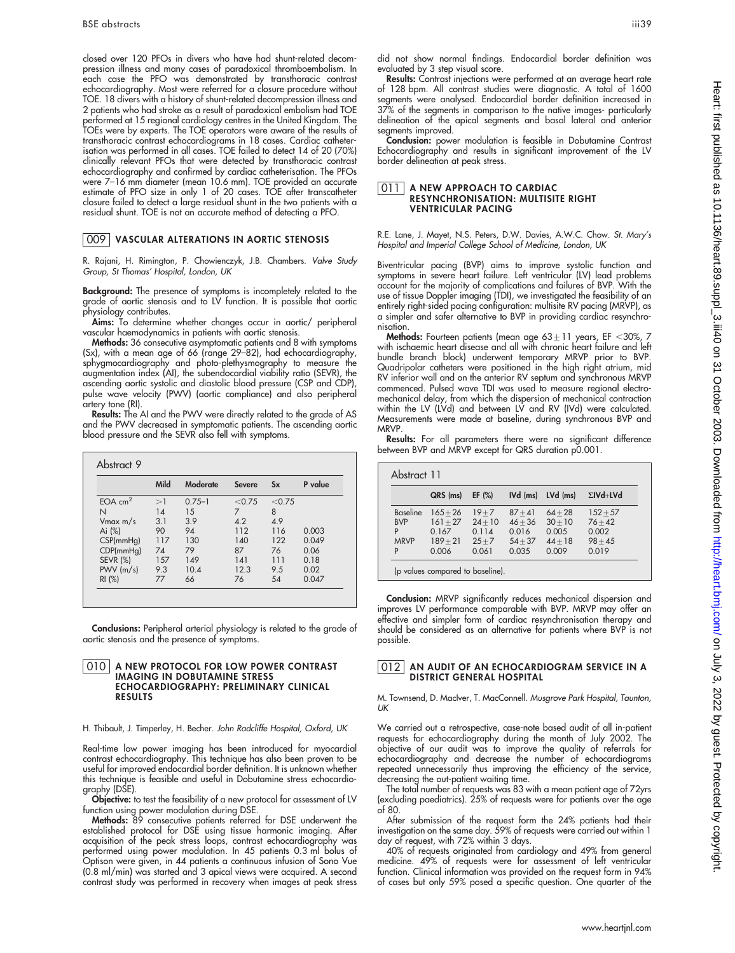closed over 120 PFOs in divers who have had shunt-related decompression illness and many cases of paradoxical thromboembolism. In each case the PFO was demonstrated by transthoracic contrast echocardiography. Most were referred for a closure procedure without TOE. 18 divers with a history of shunt-related decompression illness and 2 patients who had stroke as a result of paradoxical embolism had TOE performed at 15 regional cardiology centres in the United Kingdom. The TOEs were by experts. The TOE operators were aware of the results of transthoracic contrast echocardiograms in 18 cases. Cardiac catheterisation was performed in all cases. TOE failed to detect 14 of 20 (70%) clinically relevant PFOs that were detected by transthoracic contrast echocardiography and confirmed by cardiac catheterisation. The PFOs were 7–16 mm diameter (mean 10.6 mm). TOE provided an accurate estimate of PFO size in only 1 of 20 cases. TOE after transcatheter closure failed to detect a large residual shunt in the two patients with a residual shunt. TOE is not an accurate method of detecting a PFO.

#### 009 VASCULAR ALTERATIONS IN AORTIC STENOSIS

R. Rajani, H. Rimington, P. Chowienczyk, J.B. Chambers. Valve Study Group, St Thomas' Hospital, London, UK

Background: The presence of symptoms is incompletely related to the grade of aortic stenosis and to LV function. It is possible that aortic physiology contributes.

**Aims:** To determine whether changes occur in aortic/ peripheral vascular haemodynamics in patients with aortic stenosis.

Methods: 36 consecutive asymptomatic patients and 8 with symptoms (Sx), with a mean age of 66 (range 29–82), had echocardiography, sphygmocardiography and photo-plethysmography to measure the augmentation index (AI), the subendocardial viability ratio (SEVR), the ascending aortic systolic and diastolic blood pressure (CSP and CDP), pulse wave velocity (PWV) (aortic compliance) and also peripheral artery tone (RI).

Results: The AI and the PWV were directly related to the grade of AS and the PWV decreased in symptomatic patients. The ascending aortic blood pressure and the SEVR also fell with symptoms.

|                 | Mild | Moderate   | <b>Severe</b> | $S_{\bf X}$ | P value |
|-----------------|------|------------|---------------|-------------|---------|
| $EOA$ $cm2$     | >1   | $0.75 - 1$ | < 0.75        | < 0.75      |         |
| N               | 14   | 15         | 7             | 8           |         |
| $V$ max m/s     | 3.1  | 3.9        | 4.2           | 4.9         |         |
| Ai (%)          | 90   | 94         | 112           | 116         | 0.003   |
| CSP(mmHg)       | 117  | 130        | 140           | 122         | 0.049   |
| CDP(mmHg)       | 74   | 79         | 87            | 76          | 0.06    |
| <b>SEVR (%)</b> | 157  | 149        | 141           | 111         | 0.18    |
| $PWV$ (m/s)     | 9.3  | 10.4       | 12.3          | 9.5         | 0.02    |
| RI(%)           | 77   | 66         | 76            | 54          | 0.047   |

**Conclusions:** Peripheral arterial physiology is related to the grade of aortic stenosis and the presence of symptoms.

#### 010 A NEW PROTOCOL FOR LOW POWER CONTRAST IMAGING IN DOBUTAMINE STRESS ECHOCARDIOGRAPHY: PRELIMINARY CLINICAL RESULTS

#### H. Thibault, J. Timperley, H. Becher. John Radcliffe Hospital, Oxford, UK

Real-time low power imaging has been introduced for myocardial contrast echocardiography. This technique has also been proven to be useful for improved endocardial border definition. It is unknown whether this technique is feasible and useful in Dobutamine stress echocardiography (DSE).

Objective: to test the feasibility of a new protocol for assessment of LV function using power modulation during DSE.

**Methods:** 89 consecutive patients referred for DSE underwent the established protocol for DSE using tissue harmonic imaging. After acquisition of the peak stress loops, contrast echocardiography was performed using power modulation. In 45 patients 0.3 ml bolus of Optison were given, in 44 patients a continuous infusion of Sono Vue (0.8 ml/min) was started and 3 apical views were acquired. A second contrast study was performed in recovery when images at peak stress

did not show normal findings. Endocardial border definition was evaluated by 3 step visual score.

Results: Contrast injections were performed at an average heart rate of 128 bpm. All contrast studies were diagnostic. A total of 1600 segments were analysed. Endocardial border definition increased in 37% of the segments in comparison to the native images- particularly delineation of the apical segments and basal lateral and anterior segments improved.

Conclusion: power modulation is feasible in Dobutamine Contrast Echocardiography and results in significant improvement of the LV border delineation at peak stress.

#### 011 | A NEW APPROACH TO CARDIAC RESYNCHRONISATION: MULTISITE RIGHT VENTRICULAR PACING

#### R.E. Lane, J. Mayet, N.S. Peters, D.W. Davies, A.W.C. Chow. St. Mary's Hospital and Imperial College School of Medicine, London, UK

Biventricular pacing (BVP) aims to improve systolic function and symptoms in severe heart failure. Left ventricular (LV) lead problems account for the majority of complications and failures of BVP. With the use of tissue Doppler imaging (TDI), we investigated the feasibility of an entirely right-sided pacing configuration: multisite RV pacing (MRVP), as a simpler and safer alternative to BVP in providing cardiac resynchronisation.

Methods: Fourteen patients (mean age  $63 \pm 11$  years, EF < 30%, 7 with ischaemic heart disease and all with chronic heart failure and left bundle branch block) underwent temporary MRVP prior to BVP. Quadripolar catheters were positioned in the high right atrium, mid RV inferior wall and on the anterior RV septum and synchronous MRVP commenced. Pulsed wave TDI was used to measure regional electromechanical delay, from which the dispersion of mechanical contraction within the LV (LVd) and between LV and RV (IVd) were calculated. Measurements were made at baseline, during synchronous BVP and MRVP.

Results: For all parameters there were no significant difference between BVP and MRVP except for QRS duration p0.001.

| Abstract 11                                            |                                                          |                                                     |                                                       |                                                       |                                                        |
|--------------------------------------------------------|----------------------------------------------------------|-----------------------------------------------------|-------------------------------------------------------|-------------------------------------------------------|--------------------------------------------------------|
|                                                        | QRS (ms)                                                 | $EF$ (%)                                            | IVd (ms)                                              | LVd (ms)                                              | $\Sigma$ IVd+LVd                                       |
| <b>Baseline</b><br><b>BVP</b><br>P<br><b>MRVP</b><br>P | $165 + 26$<br>$161 + 27$<br>0.167<br>$189 + 21$<br>0.006 | $19 + 7$<br>$24 + 10$<br>0.114<br>$25 + 7$<br>0.061 | $87 + 41$<br>$46 + 36$<br>0.016<br>$54 + 37$<br>0.035 | $64 + 28$<br>$30 + 10$<br>0.005<br>$44 + 18$<br>0.009 | $152 + 57$<br>$76 + 42$<br>0.002<br>$98 + 45$<br>0.019 |

(p values compared to baseline).

Conclusion: MRVP significantly reduces mechanical dispersion and improves LV performance comparable with BVP. MRVP may offer an effective and simpler form of cardiac resynchronisation therapy and should be considered as an alternative for patients where BVP is not possible.

#### 012 AN AUDIT OF AN ECHOCARDIOGRAM SERVICE IN A DISTRICT GENERAL HOSPITAL

M. Townsend, D. MacIver, T. MacConnell. Musgrove Park Hospital, Taunton, UK

We carried out a retrospective, case-note based audit of all in-patient requests for echocardiography during the month of July 2002. The objective of our audit was to improve the quality of referrals for echocardiography and decrease the number of echocardiograms repeated unnecessarily thus improving the efficiency of the service, decreasing the out-patient waiting time.

The total number of requests was 83 with a mean patient age of 72yrs (excluding paediatrics). 25% of requests were for patients over the age of 80.

After submission of the request form the 24% patients had their investigation on the same day. 59% of requests were carried out within 1 day of request, with 72% within 3 days.

40% of requests originated from cardiology and 49% from general medicine. 49% of requests were for assessment of left ventricular function. Clinical information was provided on the request form in 94% of cases but only 59% posed a specific question. One quarter of the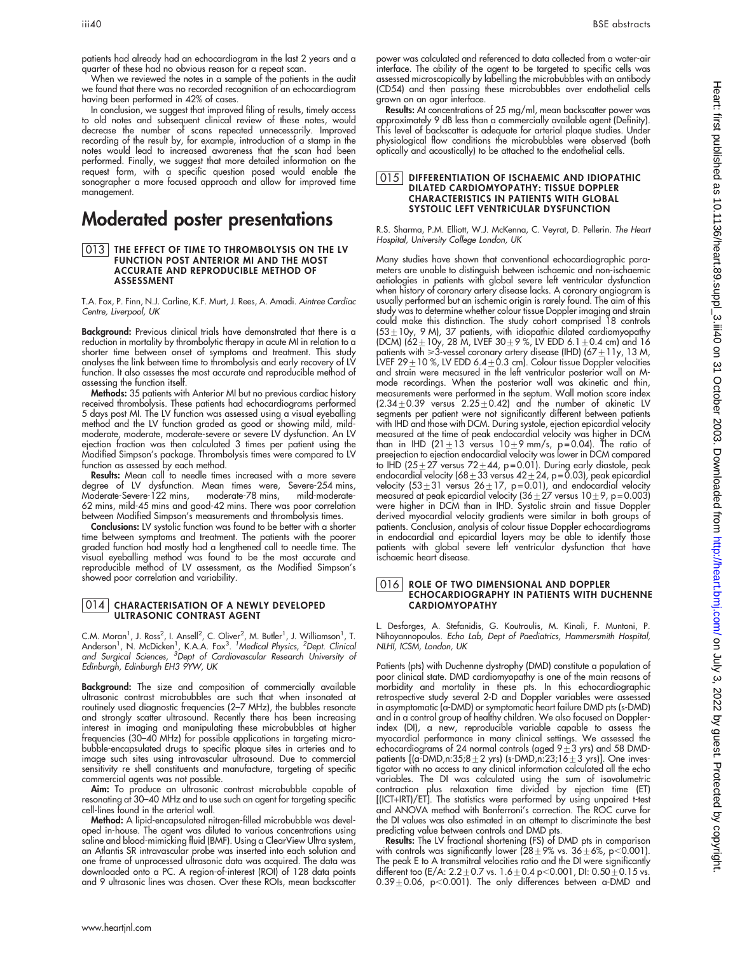patients had already had an echocardiogram in the last 2 years and a quarter of these had no obvious reason for a repeat scan.

When we reviewed the notes in a sample of the patients in the audit we found that there was no recorded recognition of an echocardiogram having been performed in 42% of cases.

In conclusion, we suggest that improved filing of results, timely access to old notes and subsequent clinical review of these notes, would decrease the number of scans repeated unnecessarily. Improved recording of the result by, for example, introduction of a stamp in the notes would lead to increased awareness that the scan had been performed. Finally, we suggest that more detailed information on the request form, with a specific question posed would enable the sonographer a more focused approach and allow for improved time management.

## Moderated poster presentations

#### 013 THE EFFECT OF TIME TO THROMBOLYSIS ON THE LV FUNCTION POST ANTERIOR MI AND THE MOST ACCURATE AND REPRODUCIBLE METHOD OF ASSESSMENT

T.A. Fox, P. Finn, N.J. Carline, K.F. Murt, J. Rees, A. Amadi. Aintree Cardiac Centre, Liverpool, UK

Background: Previous clinical trials have demonstrated that there is a reduction in mortality by thrombolytic therapy in acute MI in relation to a shorter time between onset of symptoms and treatment. This study analyses the link between time to thrombolysis and early recovery of LV function. It also assesses the most accurate and reproducible method of assessing the function itself.

Methods: 35 patients with Anterior MI but no previous cardiac history received thrombolysis. These patients had echocardiograms performed 5 days post MI. The LV function was assessed using a visual eyeballing method and the LV function graded as good or showing mild, mildmoderate, moderate, moderate-severe or severe LV dysfunction. An LV ejection fraction was then calculated 3 times per patient using the Modified Simpson's package. Thrombolysis times were compared to LV function as assessed by each method.

Results: Mean call to needle times increased with a more severe degree of LV dysfunction. Mean times were, Severe-254 mins, Moderate-Severe-122 mins, moderate-78 mins, mild-moderate-62 mins, mild-45 mins and good-42 mins. There was poor correlation between Modified Simpson's measurements and thrombolysis times.

Conclusions: LV systolic function was found to be better with a shorter time between symptoms and treatment. The patients with the poorer graded function had mostly had a lengthened call to needle time. The visual eyeballing method was found to be the most accurate and reproducible method of LV assessment, as the Modified Simpson's showed poor correlation and variability.

#### 014 CHARACTERISATION OF A NEWLY DEVELOPED ULTRASONIC CONTRAST AGENT

C.M. Moran<sup>1</sup>, J. Ross<sup>2</sup>, I. Ansell<sup>2</sup>, C. Oliver<sup>2</sup>, M. Butler<sup>1</sup>, J. Williamson<sup>1</sup>, T.<br>Anderson<sup>1</sup>, N. McDicken<sup>1</sup>, K.A.A. Fox<sup>3</sup>. <sup>7</sup>Medical Physics, <sup>2</sup>Dept. Clinicai<br>and Surgical Sciences, <sup>3</sup>Dept of Cardiovascular R Edinburgh, Edinburgh EH3 9YW, UK

**Background:** The size and composition of commercially available ultrasonic contrast microbubbles are such that when insonated at routinely used diagnostic frequencies (2–7 MHz), the bubbles resonate and strongly scatter ultrasound. Recently there has been increasing interest in imaging and manipulating these microbubbles at higher frequencies (30–40 MHz) for possible applications in targeting microbubble-encapsulated drugs to specific plaque sites in arteries and to image such sites using intravascular ultrasound. Due to commercial sensitivity re shell constituents and manufacture, targeting of specific commercial agents was not possible.

Aim: To produce an ultrasonic contrast microbubble capable of resonating at 30–40 MHz and to use such an agent for targeting specific cell-lines found in the arterial wall.

**Method:** A lipid-encapsulated nitrogen-filled microbubble was developed in-house. The agent was diluted to various concentrations using saline and blood-mimicking fluid (BMF). Using a ClearView Ultra system, an Atlantis SR intravascular probe was inserted into each solution and one frame of unprocessed ultrasonic data was acquired. The data was downloaded onto a PC. A region-of-interest (ROI) of 128 data points and 9 ultrasonic lines was chosen. Over these ROIs, mean backscatter

power was calculated and referenced to data collected from a water-air interface. The ability of the agent to be targeted to specific cells was assessed microscopically by labelling the microbubbles with an antibody (CD54) and then passing these microbubbles over endothelial cells grown on an agar interface.

Results: At concentrations of 25 mg/ml, mean backscatter power was approximately 9 dB less than a commercially available agent (Definity). This level of backscatter is adequate for arterial plaque studies. Under physiological flow conditions the microbubbles were observed (both optically and acoustically) to be attached to the endothelial cells.

#### **015** DIFFERENTIATION OF ISCHAEMIC AND IDIOPATHIC DILATED CARDIOMYOPATHY: TISSUE DOPPLER CHARACTERISTICS IN PATIENTS WITH GLOBAL SYSTOLIC LEFT VENTRICULAR DYSFUNCTION

R.S. Sharma, P.M. Elliott, W.J. McKenna, C. Veyrat, D. Pellerin. The Heart Hospital, University College London, UK

Many studies have shown that conventional echocardiographic parameters are unable to distinguish between ischaemic and non-ischaemic aetiologies in patients with global severe left ventricular dysfunction when history of coronary artery disease lacks. A coronary angiogram is usually performed but an ischemic origin is rarely found. The aim of this study was to determine whether colour tissue Doppler imaging and strain could make this distinction. The study cohort comprised 18 controls (53 $\pm$ 10y, 9 M), 37 patients, with idiopathic dilated cardiomyopathy (DCM) (62 $\pm$ 10y, 28 M, LVEF 30 $\pm$ 9 %, LV EDD 6.1 $\pm$ 0.4 cm) and 16 patients with  $\geq 3$ -vessel coronary artery disease (IHD) (67  $\pm$  11y, 13 M, LVEF 29 $\pm$  10 %, LV EDD 6.4 $\pm$ 0.3 cm). Colour tissue Doppler velocities and strain were measured in the left ventricular posterior wall on Mmode recordings. When the posterior wall was akinetic and thin, measurements were pertormed in the septum. Wall motion score index<br>(2.34±0.39 versus 2.25±0.42) and the number of akinetic LV segments per patient were not significantly different between patients with IHD and those with DCM. During systole, ejection epicardial velocity measured at the time of peak endocardial velocity was higher in DCM than in IHD (21 $\pm$ 13 versus 10 $\pm$ 9 mm/s, p=0.04). The ratio of preejection to ejection endocardial velocity was lower in DCM compared to IHD (25 $\pm$ 27 versus 72 $\pm$ 44, p=0.01). During early diastole, peak endocardial velocity (68 $\pm$ 33 versus 42 $\pm$ 24, p=0.03), peak epicardial velocity  $(53 \pm 31 \text{ versus } 26 \pm 17, \text{ p = } 0.01)$ , and endocardial velocity measured at peak epicardial velocity (36 $\pm 27$  versus 10 $\pm$ 9, p=0.003) were higher in DCM than in IHD. Systolic strain and tissue Doppler derived myocardial velocity gradients were similar in both groups of patients. Conclusion, analysis of colour tissue Doppler echocardiograms in endocardial and epicardial layers may be able to identify those patients with global severe left ventricular dysfunction that have ischaemic heart disease.

#### 016 ROLE OF TWO DIMENSIONAL AND DOPPLER ECHOCARDIOGRAPHY IN PATIENTS WITH DUCHENNE CARDIOMYOPATHY

L. Desforges, A. Stefanidis, G. Koutroulis, M. Kinali, F. Muntoni, P. Nihoyannopoulos. Echo Lab, Dept of Paediatrics, Hammersmith Hospital, NLHI, ICSM, London, UK

Patients (pts) with Duchenne dystrophy (DMD) constitute a population of poor clinical state. DMD cardiomyopathy is one of the main reasons of morbidity and mortality in these pts. In this echocardiographic retrospective study several 2-D and Doppler variables were assessed in asymptomatic (a-DMD) or symptomatic heart failure DMD pts (s-DMD) and in a control group of healthy children. We also focused on Dopplerindex (DI), a new, reproducible variable capable to assess the myocardial performance in many clinical settings. We assessed the<br>echocardiograms of 24 normal controls (aged 9±3 yrs) and 58 DMDpatients [(a-DMD,n:35;8 $\pm$ 2 yrs) (s-DMD,n:23;16 $\pm$ 3 yrs)]. One investigator with no access to any clinical information calculated all the echo variables. The DI was calculated using the sum of isovolumetric contraction plus relaxation time divided by ejection time (ET) [(ICT+IRT)/ET]. The statistics were performed by using unpaired t-test and ANOVA method with Bonferroni's correction. The ROC curve for the DI values was also estimated in an attempt to discriminate the best predicting value between controls and DMD pts.

Results: The LV fractional shortening (FS) of DMD pts in comparison with controls was significantly lower (28 $\pm$ 9% vs. 36 $\pm$ 6%, p<0.001). The peak E to A transmitral velocities ratio and the DI were significantly different too (E/A: 2.2 $\pm$  0.7 vs. 1.6 $\pm$  0.4 p<0.001, DI: 0.50 $\pm$  0.15 vs.  $0.39 \pm 0.06$ , p<0.001). The only differences between a-DMD and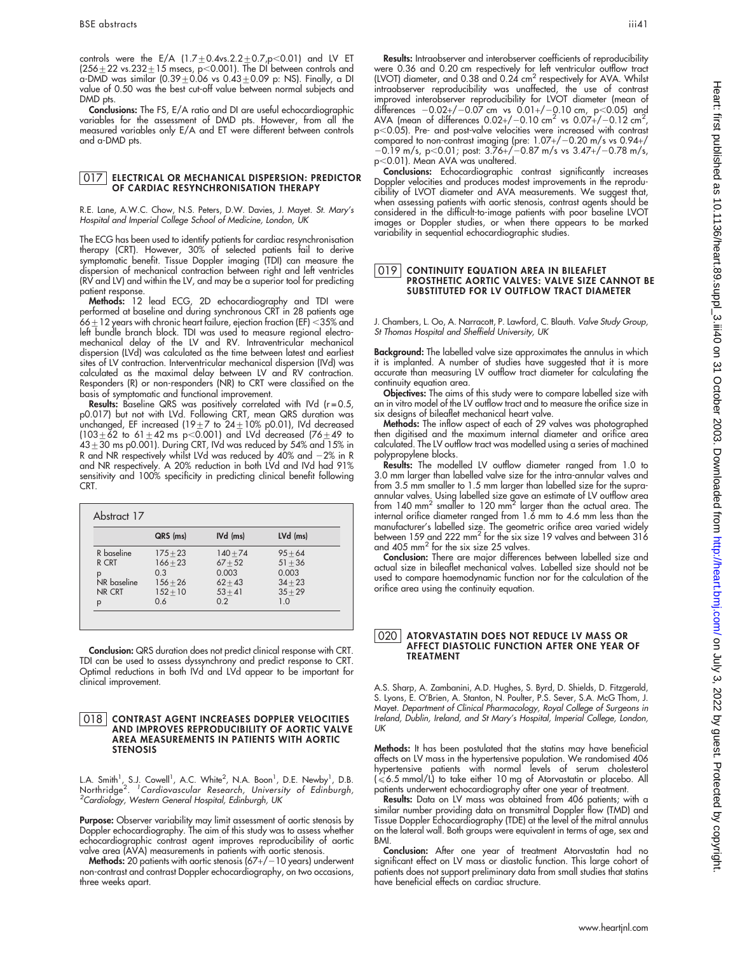controls were the E/A  $(1.7 \pm 0.4$ vs. $2.2 \pm 0.7$ ,p<0.01) and LV ET (256 $\pm$ 22 vs.232 $\pm$ 15 msecs, p $<$ 0.001). The DI between controls and a-DMD was similar (0.39 $\pm$ 0.06 vs 0.43 $\pm$ 0.09 p: NS). Finally, a DI value of 0.50 was the best cut-off value between normal subjects and DMD pts.

Conclusions: The FS, E/A ratio and DI are useful echocardiographic variables for the assessment of DMD pts. However, from all the measured variables only E/A and ET were different between controls and a-DMD pts.

#### 017 ELECTRICAL OR MECHANICAL DISPERSION: PREDICTOR OF CARDIAC RESYNCHRONISATION THERAPY

R.E. Lane, A.W.C. Chow, N.S. Peters, D.W. Davies, J. Mayet. St. Mary's Hospital and Imperial College School of Medicine, London, UK

The ECG has been used to identify patients for cardiac resynchronisation therapy (CRT). However, 30% of selected patients fail to derive symptomatic benefit. Tissue Doppler imaging (TDI) can measure the dispersion of mechanical contraction between right and left ventricles (RV and LV) and within the LV, and may be a superior tool for predicting patient response.

Methods: 12 lead ECG, 2D echocardiography and TDI were pertormed at baseline and during synchronous CRT in 28 patients age<br>66±12 years with chronic heart failure, ejection fraction (EF) <35% and left bundle branch block. TDI was used to measure regional electromechanical delay of the LV and RV. Intraventricular mechanical dispersion (LVd) was calculated as the time between latest and earliest sites of LV contraction. Interventricular mechanical dispersion (IVd) was calculated as the maximal delay between LV and RV contraction. Responders (R) or non-responders (NR) to CRT were classified on the basis of symptomatic and functional improvement.

**Results:** Baseline QRS was positively correlated with IVd (r=0.5, p0.017) but not with LVd. Following CRT, mean QRS duration was<br>unchanged, EF increased (19±7 to 24±10% p0.01), IVd decreased (103 $\pm$ 62 to 61 $\pm$ 42 ms p<0.001) and LVd decreased (76 $\pm$ 49 to  $43\pm30$  ms p0.001). During CRT, IVd was reduced by 54% and 15% in R and NR respectively whilst LVd was reduced by 40% and  $-2\%$  in R and NR respectively. A 20% reduction in both LVd and IVd had 91% sensitivity and 100% specificity in predicting clinical benefit following CRT.

|             | QRS (ms)   | IVd (ms)   | LVd (ms)  |
|-------------|------------|------------|-----------|
| R baseline  | $175 + 23$ | $140 + 74$ | $95 + 64$ |
| R CRT       | $166 + 23$ | $67 + 52$  | $51 + 36$ |
| р           | 0.3        | 0.003      | 0.003     |
| NR baseline | $156 + 26$ | $62 + 43$  | $34 + 23$ |
| NR CRT      | $152 + 10$ | $53 + 41$  | $35 + 29$ |
| p           | 0.6        | 0.2        | 1.0       |

Conclusion: QRS duration does not predict clinical response with CRT. TDI can be used to assess dyssynchrony and predict response to CRT. Optimal reductions in both IVd and LVd appear to be important for clinical improvement.

#### 018 CONTRAST AGENT INCREASES DOPPLER VELOCITIES AND IMPROVES REPRODUCIBILITY OF AORTIC VALVE AREA MEASUREMENTS IN PATIENTS WITH AORTIC STENOSIS

L.A. Smith<sup>1</sup>, S.J. Cowell<sup>1</sup>, A.C. White<sup>2</sup>, N.A. Boon<sup>1</sup>, D.E. Newby<sup>1</sup>, D.B.<br>Northridge<sup>2. 1</sup>Cardiovascular Research, University of Edinburgh,<br><sup>2</sup>Cardiology Western General Hespital Edinburgh UK <sup>2</sup>Cardiology, Western General Hospital, Edinburgh, UK

**Purpose:** Observer variability may limit assessment of aortic stenosis by Doppler echocardiography. The aim of this study was to assess whether echocardiographic contrast agent improves reproducibility of aortic valve area (AVA) measurements in patients with aortic stenosis.

Methods: 20 patients with aortic stenosis  $(67+/-10$  years) underwent non-contrast and contrast Doppler echocardiography, on two occasions, three weeks apart.

Results: Intraobserver and interobserver coefficients of reproducibility were 0.36 and 0.20 cm respectively tor lett ventricular outflow tract<br>(LVOT) diameter, and 0.38 and 0.24 cm<sup>2</sup> respectively for AVA. Whilst intraobserver reproducibility was unaffected, the use of contrast improved interobserver reproducibility for LVOT diameter (mean of ditterences -0.02+/-0.07 cm vs 0.01+/-0.10 cm, p<0.05) and<br>AVA (mean of differences 0.02+/-0.10 cm<sup>2</sup> vs 0.07+/-0.12 cm<sup>2</sup>, p<0.05). Pre- and post-valve velocities were increased with contrast compared to non-contrast imaging (pre:  $1.07+/-0.20$  m/s vs  $0.94+/$  $-0.19$  m/s, p $<$ 0.01; post: 3.76+/ $-0.87$  m/s vs 3.47+/ $-0.78$  m/s, p<0.01). Mean AVA was unaltered.

Conclusions: Echocardiographic contrast significantly increases Doppler velocities and produces modest improvements in the reproducibility of LVOT diameter and AVA measurements. We suggest that, when assessing patients with aortic stenosis, contrast agents should be considered in the difficult-to-image patients with poor baseline LVOT images or Doppler studies, or when there appears to be marked variability in sequential echocardiographic studies.

#### 019 CONTINUITY EQUATION AREA IN BILEAFLET PROSTHETIC AORTIC VALVES: VALVE SIZE CANNOT BE SUBSTITUTED FOR LV OUTFLOW TRACT DIAMETER

J. Chambers, L. Oo, A. Narracott, P. Lawford, C. Blauth. Valve Study Group, St Thomas Hospital and Sheffield University, UK

Background: The labelled valve size approximates the annulus in which it is implanted. A number of studies have suggested that it is more accurate than measuring LV outflow tract diameter for calculating the continuity equation area.

Objectives: The aims of this study were to compare labelled size with an in vitro model of the LV outflow tract and to measure the orifice size in six designs of bileaflet mechanical heart valve.

Methods: The inflow aspect of each of 29 valves was photographed then digitised and the maximum internal diameter and orifice area calculated. The LV outflow tract was modelled using a series of machined polypropylene blocks.

Results: The modelled LV outflow diameter ranged from 1.0 to 3.0 mm larger than labelled valve size for the intra-annular valves and from 3.5 mm smaller to 1.5 mm larger than labelled size for the supraannular valves. Using labelled size gave an estimate of LV outflow arec<br>from 140 mm<sup>2</sup> smaller to 120 mm<sup>2</sup> larger than the actual area. The internal orifice diameter ranged from 1.6 mm to 4.6 mm less than the manufacturer's labelled size. The geometric orifice area varied widely between 159 and 222 mm2 for the six size 19 valves and between 316 and 405 mm<sup>2</sup> for the six size 25 valves.

Conclusion: There are major differences between labelled size and actual size in bileaflet mechanical valves. Labelled size should not be used to compare haemodynamic function nor for the calculation of the orifice area using the continuity equation.

#### 020 ATORVASTATIN DOES NOT REDUCE LV MASS OR AFFECT DIASTOLIC FUNCTION AFTER ONE YEAR OF TREATMENT

A.S. Sharp, A. Zambanini, A.D. Hughes, S. Byrd, D. Shields, D. Fitzgerald, S. Lyons, E. O'Brien, A. Stanton, N. Poulter, P.S. Sever, S.A. McG Thom, J. Mayet. Department of Clinical Pharmacology, Royal College of Surgeons in Ireland, Dublin, Ireland, and St Mary's Hospital, Imperial College, London, UK

Methods: It has been postulated that the statins may have beneficial affects on LV mass in the hypertensive population. We randomised 406 hypertensive patients with normal levels of serum cholesterol<br>(≤6.5 mmol/L) to take either 10 mg of Atorvastatin or placebo. All patients underwent echocardiography after one year of treatment.

Results: Data on LV mass was obtained from 406 patients; with a similar number providing data on transmitral Doppler flow (TMD) and Tissue Doppler Echocardiography (TDE) at the level of the mitral annulus on the lateral wall. Both groups were equivalent in terms of age, sex and BMI.

Conclusion: After one year of treatment Atorvastatin had no significant effect on LV mass or diastolic function. This large cohort of patients does not support preliminary data from small studies that statins have beneficial effects on cardiac structure.